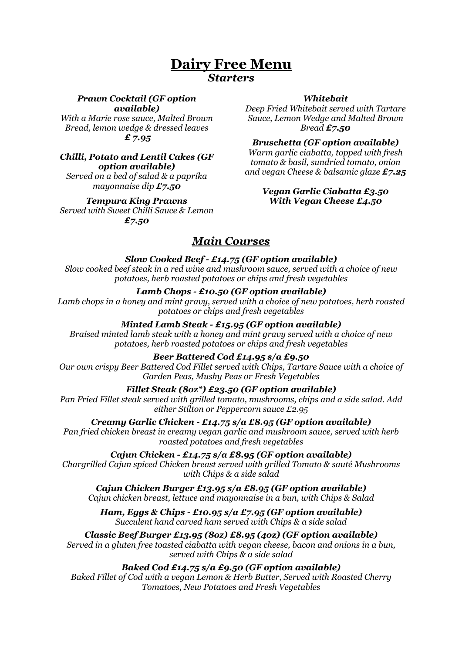# **Dairy Free Menu** *Starters*

#### *Prawn Cocktail (GF option available)*

*With a Marie rose sauce, Malted Brown Bread, lemon wedge & dressed leaves £ 7.95*

### *Chilli, Potato and Lentil Cakes (GF option available)*

*Served on a bed of salad & a paprika mayonnaise dip £7.50*

### *Tempura King Prawns*

*Served with Sweet Chilli Sauce & Lemon £7.50*

#### *Whitebait*

*Deep Fried Whitebait served with Tartare Sauce, Lemon Wedge and Malted Brown Bread £7.50*

*Bruschetta (GF option available)*

*Warm garlic ciabatta, topped with fresh tomato & basil, sundried tomato, onion and vegan Cheese & balsamic glaze £7.25*

#### *Vegan Garlic Ciabatta £3.50 With Vegan Cheese £4.50*

# *Main Courses*

## *Slow Cooked Beef - £14.75 (GF option available)*

*Slow cooked beef steak in a red wine and mushroom sauce, served with a choice of new potatoes, herb roasted potatoes or chips and fresh vegetables* 

## *Lamb Chops - £10.50 (GF option available)*

*Lamb chops in a honey and mint gravy, served with a choice of new potatoes, herb roasted potatoes or chips and fresh vegetables*

## *Minted Lamb Steak - £15.95 (GF option available)*

*Braised minted lamb steak with a honey and mint gravy served with a choice of new potatoes, herb roasted potatoes or chips and fresh vegetables*

### *Beer Battered Cod £14.95 s/a £9.50*

*Our own crispy Beer Battered Cod Fillet served with Chips, Tartare Sauce with a choice of Garden Peas, Mushy Peas or Fresh Vegetables*

### *Fillet Steak (8oz\*) £23.50 (GF option available)*

*Pan Fried Fillet steak served with grilled tomato, mushrooms, chips and a side salad. Add either Stilton or Peppercorn sauce £2.95*

*Creamy Garlic Chicken - £14.75 s/a £8.95 (GF option available) Pan fried chicken breast in creamy vegan garlic and mushroom sauce, served with herb roasted potatoes and fresh vegetables* 

*Cajun Chicken - £14.75 s/a £8.95 (GF option available) Chargrilled Cajun spiced Chicken breast served with grilled Tomato & sauté Mushrooms with Chips & a side salad* 

*Cajun Chicken Burger £13.95 s/a £8.95 (GF option available) Cajun chicken breast, lettuce and mayonnaise in a bun, with Chips & Salad*

*Ham, Eggs & Chips - £10.95 s/a £7.95 (GF option available) Succulent hand carved ham served with Chips & a side salad*

*Classic Beef Burger £13.95 (8oz) £8.95 (4oz) (GF option available) Served in a gluten free toasted ciabatta with vegan cheese, bacon and onions in a bun, served with Chips & a side salad*

### *Baked Cod £14.75 s/a £9.50 (GF option available)*

*Baked Fillet of Cod with a vegan Lemon & Herb Butter, Served with Roasted Cherry Tomatoes, New Potatoes and Fresh Vegetables*